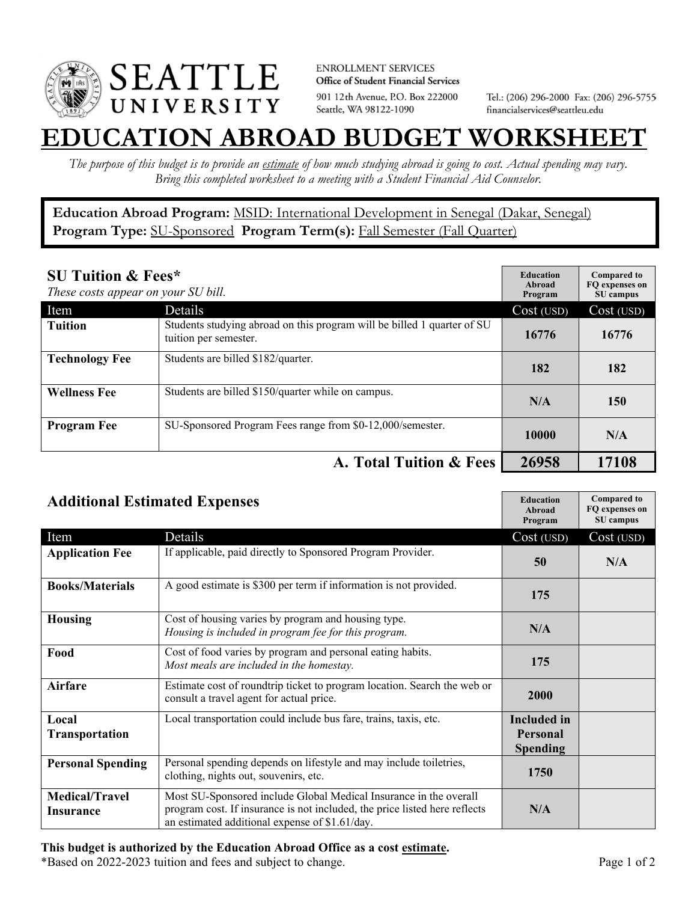

**ENROLLMENT SERVICES** Office of Student Financial Services 901 12th Avenue, P.O. Box 222000 Seattle, WA 98122-1090

Tel.: (206) 296-2000 Fax: (206) 296-5755 financialservices@seattleu.edu

## **EATION ABROAD BUDGET WORKSHEE**

*The purpose of this budget is to provide an estimate of how much studying abroad is going to cost. Actual spending may vary. Bring this completed worksheet to a meeting with a Student Financial Aid Counselor.* 

**Education Abroad Program:** MSID: International Development in Senegal (Dakar, Senegal) Program Type: **SU-Sponsored** Program Term(s): **Fall Semester (Fall Quarter)** 

| <b>SU Tuition &amp; Fees*</b><br>These costs appear on your SU bill. |                                                                                                  | <b>Education</b><br>Abroad<br>Program | <b>Compared to</b><br>FQ expenses on<br>SU campus |
|----------------------------------------------------------------------|--------------------------------------------------------------------------------------------------|---------------------------------------|---------------------------------------------------|
| Item                                                                 | Details                                                                                          | Cost (USD)                            | Cost (USD)                                        |
| <b>Tuition</b>                                                       | Students studying abroad on this program will be billed 1 quarter of SU<br>tuition per semester. | 16776                                 | 16776                                             |
| <b>Technology Fee</b>                                                | Students are billed \$182/quarter.                                                               | 182                                   | 182                                               |
| <b>Wellness Fee</b>                                                  | Students are billed \$150/quarter while on campus.                                               | N/A                                   | 150                                               |
| <b>Program Fee</b>                                                   | SU-Sponsored Program Fees range from \$0-12,000/semester.                                        | 10000                                 | N/A                                               |
|                                                                      | A. Total Tuition & Fees                                                                          | 26958                                 | 17108                                             |

| <b>Additional Estimated Expenses</b> |                                                                                                                                                                                                   | <b>Education</b><br>Abroad<br>Program | <b>Compared to</b><br>FQ expenses on<br>SU campus |
|--------------------------------------|---------------------------------------------------------------------------------------------------------------------------------------------------------------------------------------------------|---------------------------------------|---------------------------------------------------|
| Item                                 | Details                                                                                                                                                                                           | Cost (USD)                            | Cost (USD)                                        |
| <b>Application Fee</b>               | If applicable, paid directly to Sponsored Program Provider.                                                                                                                                       | 50                                    | N/A                                               |
| <b>Books/Materials</b>               | A good estimate is \$300 per term if information is not provided.                                                                                                                                 | 175                                   |                                                   |
| <b>Housing</b>                       | Cost of housing varies by program and housing type.<br>Housing is included in program fee for this program.                                                                                       | N/A                                   |                                                   |
| Food                                 | Cost of food varies by program and personal eating habits.<br>Most meals are included in the homestay.                                                                                            | 175                                   |                                                   |
| <b>Airfare</b>                       | Estimate cost of roundtrip ticket to program location. Search the web or<br>consult a travel agent for actual price.                                                                              | 2000                                  |                                                   |
| Local                                | Local transportation could include bus fare, trains, taxis, etc.                                                                                                                                  | <b>Included</b> in                    |                                                   |
| Transportation                       |                                                                                                                                                                                                   | <b>Personal</b>                       |                                                   |
|                                      |                                                                                                                                                                                                   | <b>Spending</b>                       |                                                   |
| <b>Personal Spending</b>             | Personal spending depends on lifestyle and may include toiletries,<br>clothing, nights out, souvenirs, etc.                                                                                       | 1750                                  |                                                   |
| <b>Medical/Travel</b><br>Insurance   | Most SU-Sponsored include Global Medical Insurance in the overall<br>program cost. If insurance is not included, the price listed here reflects<br>an estimated additional expense of \$1.61/day. | N/A                                   |                                                   |

## **This budget is authorized by the Education Abroad Office as a cost estimate.**

\*Based on 2022-2023 tuition and fees and subject to change. Page 1 of 2